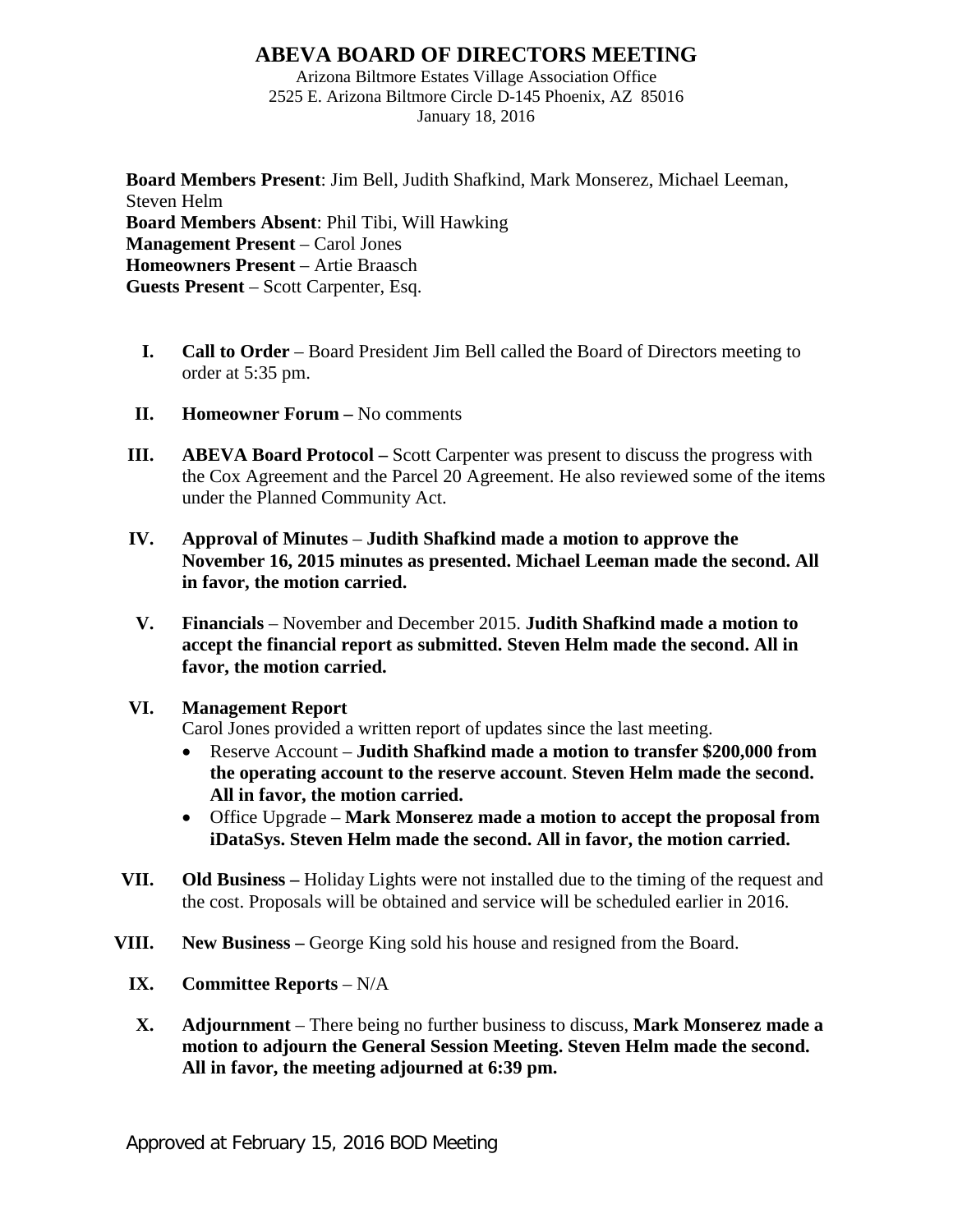## **ABEVA BOARD OF DIRECTORS MEETING**

Arizona Biltmore Estates Village Association Office 2525 E. Arizona Biltmore Circle D-145 Phoenix, AZ 85016 January 18, 2016

**Board Members Present**: Jim Bell, Judith Shafkind, Mark Monserez, Michael Leeman, Steven Helm **Board Members Absent**: Phil Tibi, Will Hawking **Management Present** – Carol Jones **Homeowners Present** – Artie Braasch **Guests Present** – Scott Carpenter, Esq.

- **I. Call to Order** Board President Jim Bell called the Board of Directors meeting to order at 5:35 pm.
- **II. Homeowner Forum** No comments
- **III. ABEVA Board Protocol –** Scott Carpenter was present to discuss the progress with the Cox Agreement and the Parcel 20 Agreement. He also reviewed some of the items under the Planned Community Act.
- **IV. Approval of Minutes Judith Shafkind made a motion to approve the November 16, 2015 minutes as presented. Michael Leeman made the second. All in favor, the motion carried.**
- **V. Financials** November and December 2015. **Judith Shafkind made a motion to accept the financial report as submitted. Steven Helm made the second. All in favor, the motion carried.**

## **VI. Management Report**

Carol Jones provided a written report of updates since the last meeting.

- Reserve Account **Judith Shafkind made a motion to transfer \$200,000 from the operating account to the reserve account**. **Steven Helm made the second. All in favor, the motion carried.**
- Office Upgrade **Mark Monserez made a motion to accept the proposal from iDataSys. Steven Helm made the second. All in favor, the motion carried.**
- **VII. Old Business –** Holiday Lights were not installed due to the timing of the request and the cost. Proposals will be obtained and service will be scheduled earlier in 2016.
- **VIII. New Business –** George King sold his house and resigned from the Board.
	- **IX. Committee Reports** N/A
	- **X. Adjournment** There being no further business to discuss, **Mark Monserez made a motion to adjourn the General Session Meeting. Steven Helm made the second. All in favor, the meeting adjourned at 6:39 pm.**